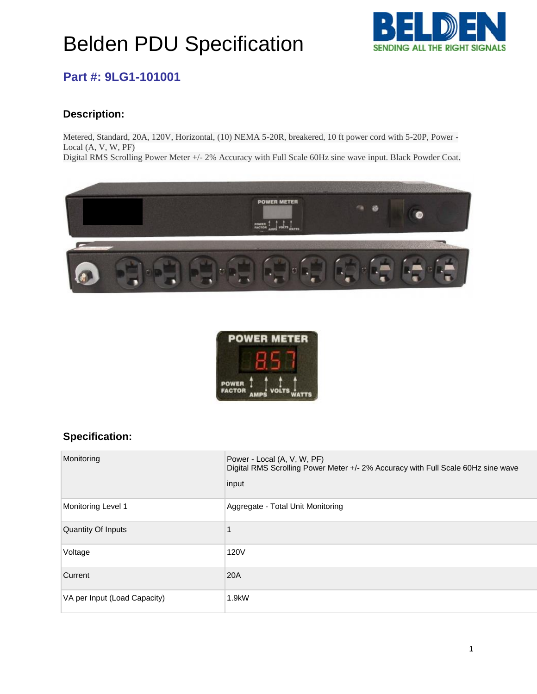## Belden PDU Specification



#### **Part #: 9LG1-101001**

#### **Description:**

Metered, Standard, 20A, 120V, Horizontal, (10) NEMA 5-20R, breakered, 10 ft power cord with 5-20P, Power - Local (A, V, W, PF)

Digital RMS Scrolling Power Meter +/- 2% Accuracy with Full Scale 60Hz sine wave input. Black Powder Coat.





#### **Specification:** ification:

| Monitoring                   | Power - Local (A, V, W, PF)<br>Digital RMS Scrolling Power Meter +/- 2% Accuracy with Full Scale 60Hz sine wave<br>input |
|------------------------------|--------------------------------------------------------------------------------------------------------------------------|
| Monitoring Level 1           | Aggregate - Total Unit Monitoring                                                                                        |
| Quantity Of Inputs           |                                                                                                                          |
| Voltage                      | 120V                                                                                                                     |
| Current                      | 20A                                                                                                                      |
| VA per Input (Load Capacity) | $1.9$ k $W$                                                                                                              |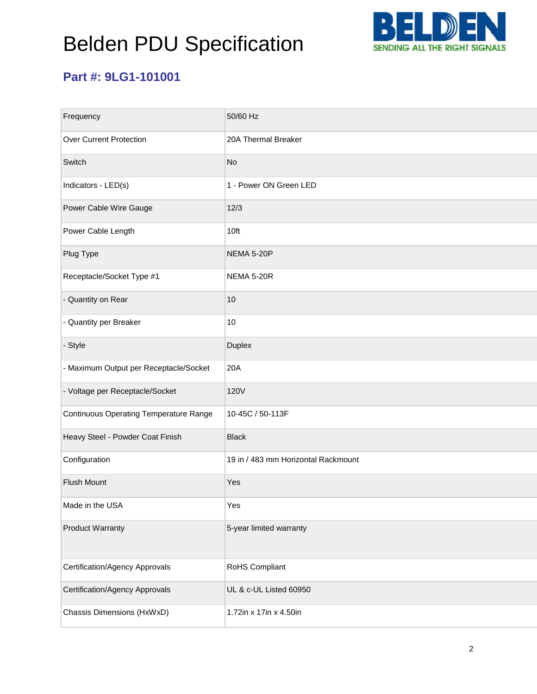# Belden PDU Specification



## **Part #: 9LG1-101001**

| Frequency                                     | 50/60 Hz                            |
|-----------------------------------------------|-------------------------------------|
| <b>Over Current Protection</b>                | 20A Thermal Breaker                 |
| Switch                                        | <b>No</b>                           |
| Indicators - LED(s)                           | 1 - Power ON Green LED              |
| Power Cable Wire Gauge                        | 12/3                                |
| Power Cable Length                            | 10ft                                |
| Plug Type                                     | <b>NEMA 5-20P</b>                   |
| Receptacle/Socket Type #1                     | <b>NEMA 5-20R</b>                   |
| - Quantity on Rear                            | 10                                  |
| - Quantity per Breaker                        | 10                                  |
| - Style                                       | Duplex                              |
| - Maximum Output per Receptacle/Socket        | 20A                                 |
| - Voltage per Receptacle/Socket               | <b>120V</b>                         |
| <b>Continuous Operating Temperature Range</b> | 10-45C / 50-113F                    |
| Heavy Steel - Powder Coat Finish              | <b>Black</b>                        |
| Configuration                                 | 19 in / 483 mm Horizontal Rackmount |
| <b>Flush Mount</b>                            | Yes                                 |
| Made in the USA                               | Yes                                 |
| <b>Product Warranty</b>                       | 5-year limited warranty             |
| Certification/Agency Approvals                | RoHS Compliant                      |
| <b>Certification/Agency Approvals</b>         | UL & c-UL Listed 60950              |
| Chassis Dimensions (HxWxD)                    | 1.72in x 17in x 4.50in              |